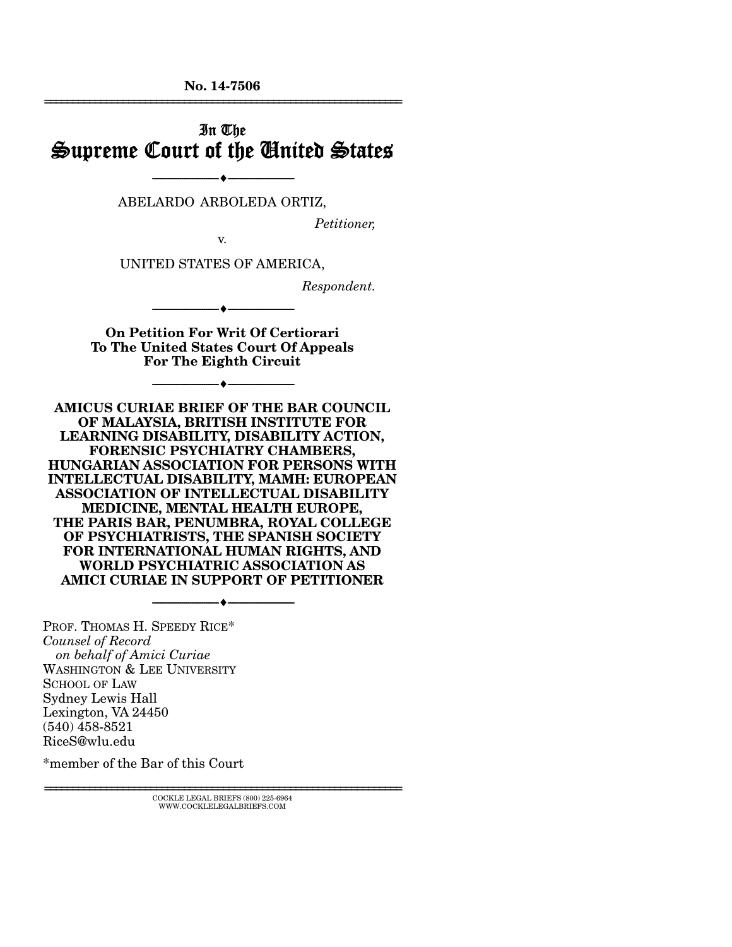**No. 14-7506**  ================================================================

## In The Supreme Court of the United States

--------------------------------- --------------------------------- ABELARDO ARBOLEDA ORTIZ,

*Petitioner,* 

v.

UNITED STATES OF AMERICA,

*Respondent.* 

**On Petition For Writ Of Certiorari To The United States Court Of Appeals For The Eighth Circuit** 

--------------------------------- ---------------------------------

--------------------------------- ---------------------------------

**AMICUS CURIAE BRIEF OF THE BAR COUNCIL OF MALAYSIA, BRITISH INSTITUTE FOR LEARNING DISABILITY, DISABILITY ACTION, FORENSIC PSYCHIATRY CHAMBERS, HUNGARIAN ASSOCIATION FOR PERSONS WITH INTELLECTUAL DISABILITY, MAMH: EUROPEAN ASSOCIATION OF INTELLECTUAL DISABILITY MEDICINE, MENTAL HEALTH EUROPE, THE PARIS BAR, PENUMBRA, ROYAL COLLEGE OF PSYCHIATRISTS, THE SPANISH SOCIETY FOR INTERNATIONAL HUMAN RIGHTS, AND WORLD PSYCHIATRIC ASSOCIATION AS AMICI CURIAE IN SUPPORT OF PETITIONER** 

--------------------------------- ---------------------------------

PROF. THOMAS H. SPEEDY RICE\* *Counsel of Record on behalf of Amici Curiae*  WASHINGTON & LEE UNIVERSITY SCHOOL OF LAW Sydney Lewis Hall Lexington, VA 24450 (540) 458-8521 RiceS@wlu.edu

\*member of the Bar of this Court

================================================================ COCKLE LEGAL BRIEFS (800) 225-6964 WWW.COCKLELEGALBRIEFS.COM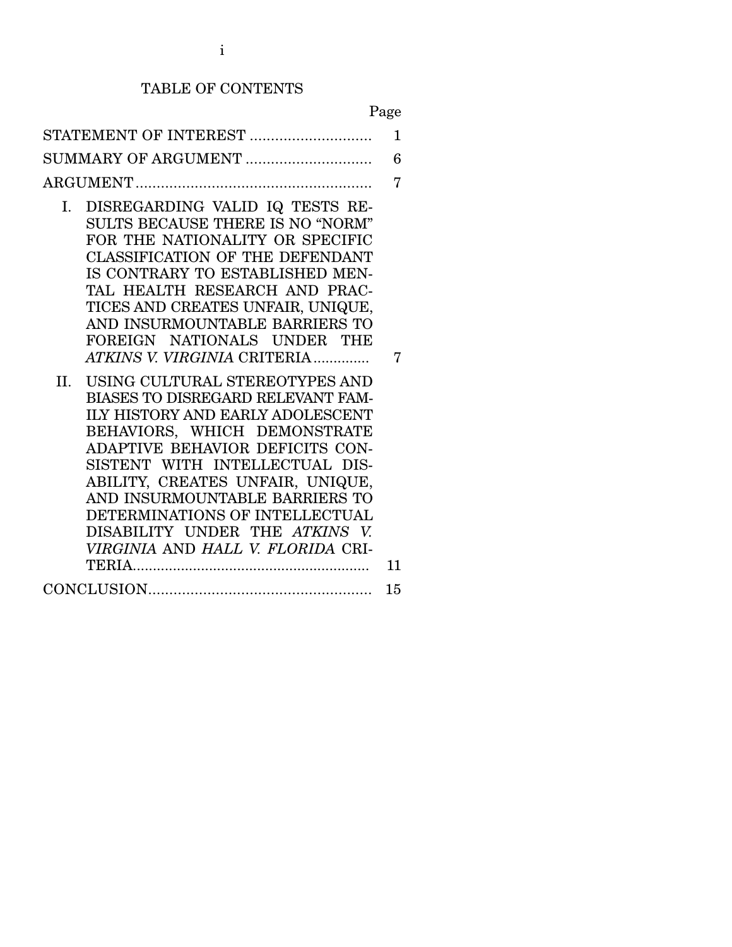# TABLE OF CONTENTS

Page

|                                                                                                                                                                                                                                                                                                                                                                                                       | 1  |
|-------------------------------------------------------------------------------------------------------------------------------------------------------------------------------------------------------------------------------------------------------------------------------------------------------------------------------------------------------------------------------------------------------|----|
|                                                                                                                                                                                                                                                                                                                                                                                                       | 6  |
|                                                                                                                                                                                                                                                                                                                                                                                                       | 7  |
| DISREGARDING VALID IQ TESTS RE-<br>I.<br>SULTS BECAUSE THERE IS NO "NORM"<br>FOR THE NATIONALITY OR SPECIFIC<br>CLASSIFICATION OF THE DEFENDANT<br>IS CONTRARY TO ESTABLISHED MEN-<br>TAL HEALTH RESEARCH AND PRAC-<br>TICES AND CREATES UNFAIR, UNIQUE,<br>AND INSURMOUNTABLE BARRIERS TO<br>FOREIGN NATIONALS UNDER THE<br><i>ATKINS V. VIRGINIA CRITERIA</i><br>II. USING CULTURAL STEREOTYPES AND |    |
| BIASES TO DISREGARD RELEVANT FAM-<br><b>ILY HISTORY AND EARLY ADOLESCENT</b><br>BEHAVIORS, WHICH DEMONSTRATE<br>ADAPTIVE BEHAVIOR DEFICITS CON-<br>SISTENT WITH INTELLECTUAL DIS-<br>ABILITY, CREATES UNFAIR, UNIQUE,<br>AND INSURMOUNTABLE BARRIERS TO<br>DETERMINATIONS OF INTELLECTUAL<br>DISABILITY UNDER THE ATKINS V.<br>VIRGINIA AND HALL V. FLORIDA CRI-                                      | 11 |
|                                                                                                                                                                                                                                                                                                                                                                                                       | 15 |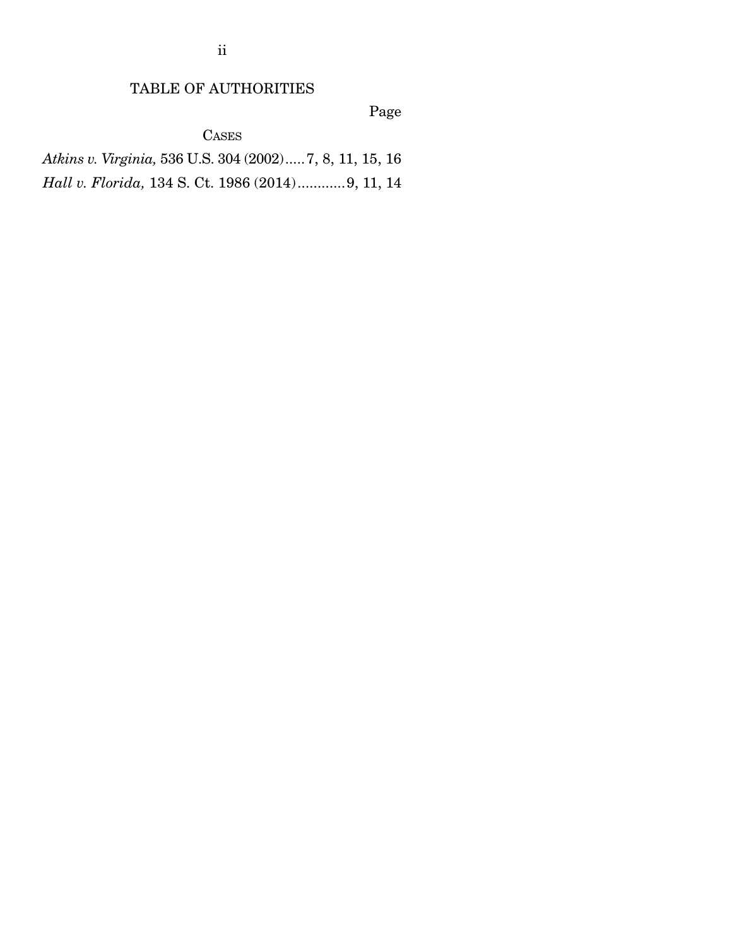ii

## TABLE OF AUTHORITIES

Page

CASES

*Atkins v. Virginia,* 536 U.S. 304 (2002) ..... 7, 8, 11, 15, 16 *Hall v. Florida,* 134 S. Ct. 1986 (2014) ............ 9, 11, 14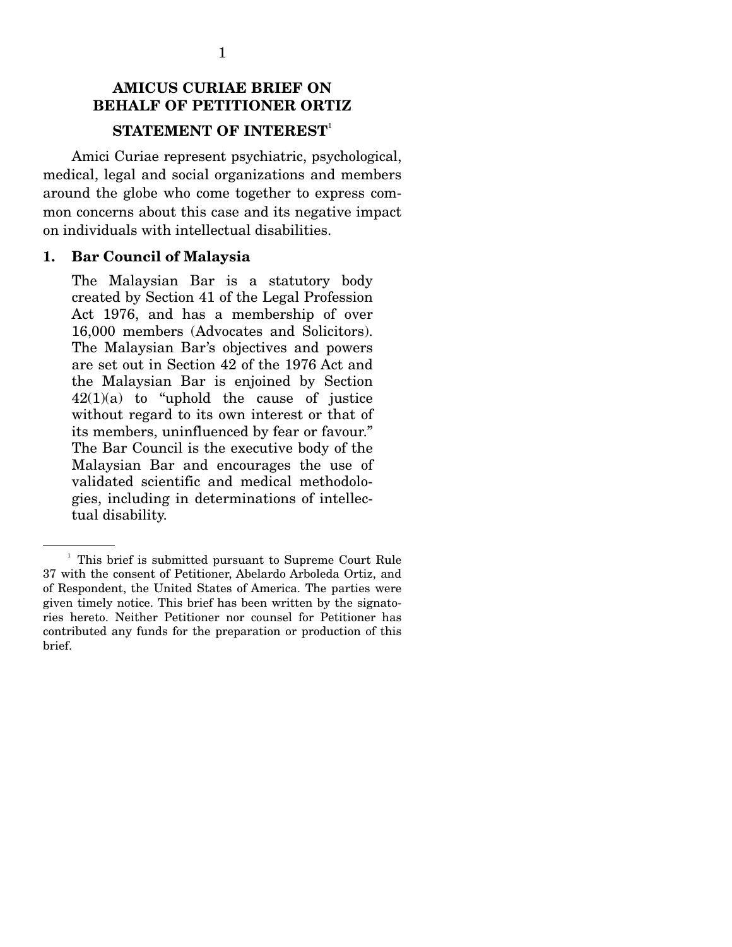## **AMICUS CURIAE BRIEF ON BEHALF OF PETITIONER ORTIZ STATEMENT OF INTEREST**<sup>1</sup>

 Amici Curiae represent psychiatric, psychological, medical, legal and social organizations and members around the globe who come together to express common concerns about this case and its negative impact on individuals with intellectual disabilities.

#### **1. Bar Council of Malaysia**

The Malaysian Bar is a statutory body created by Section 41 of the Legal Profession Act 1976, and has a membership of over 16,000 members (Advocates and Solicitors). The Malaysian Bar's objectives and powers are set out in Section 42 of the 1976 Act and the Malaysian Bar is enjoined by Section 42(1)(a) to "uphold the cause of justice without regard to its own interest or that of its members, uninfluenced by fear or favour." The Bar Council is the executive body of the Malaysian Bar and encourages the use of validated scientific and medical methodologies, including in determinations of intellectual disability.

<sup>&</sup>lt;sup>1</sup> This brief is submitted pursuant to Supreme Court Rule 37 with the consent of Petitioner, Abelardo Arboleda Ortiz, and of Respondent, the United States of America. The parties were given timely notice. This brief has been written by the signatories hereto. Neither Petitioner nor counsel for Petitioner has contributed any funds for the preparation or production of this brief.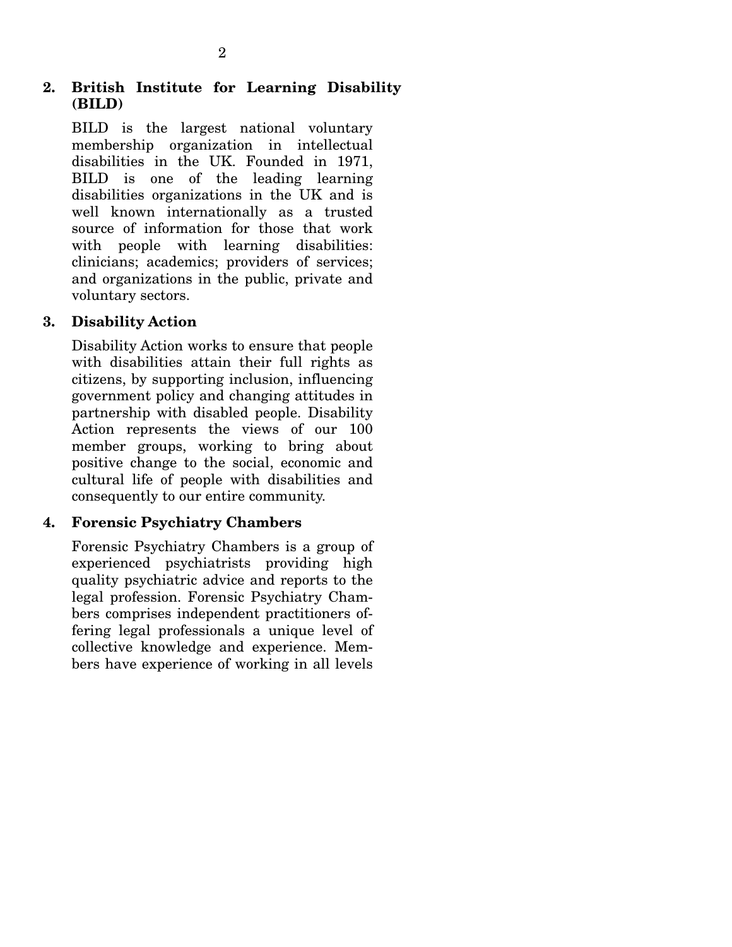## **2. British Institute for Learning Disability (BILD)**

BILD is the largest national voluntary membership organization in intellectual disabilities in the UK. Founded in 1971, BILD is one of the leading learning disabilities organizations in the UK and is well known internationally as a trusted source of information for those that work with people with learning disabilities: clinicians; academics; providers of services; and organizations in the public, private and voluntary sectors.

## **3. Disability Action**

Disability Action works to ensure that people with disabilities attain their full rights as citizens, by supporting inclusion, influencing government policy and changing attitudes in partnership with disabled people. Disability Action represents the views of our 100 member groups, working to bring about positive change to the social, economic and cultural life of people with disabilities and consequently to our entire community.

## **4. Forensic Psychiatry Chambers**

Forensic Psychiatry Chambers is a group of experienced psychiatrists providing high quality psychiatric advice and reports to the legal profession. Forensic Psychiatry Chambers comprises independent practitioners offering legal professionals a unique level of collective knowledge and experience. Members have experience of working in all levels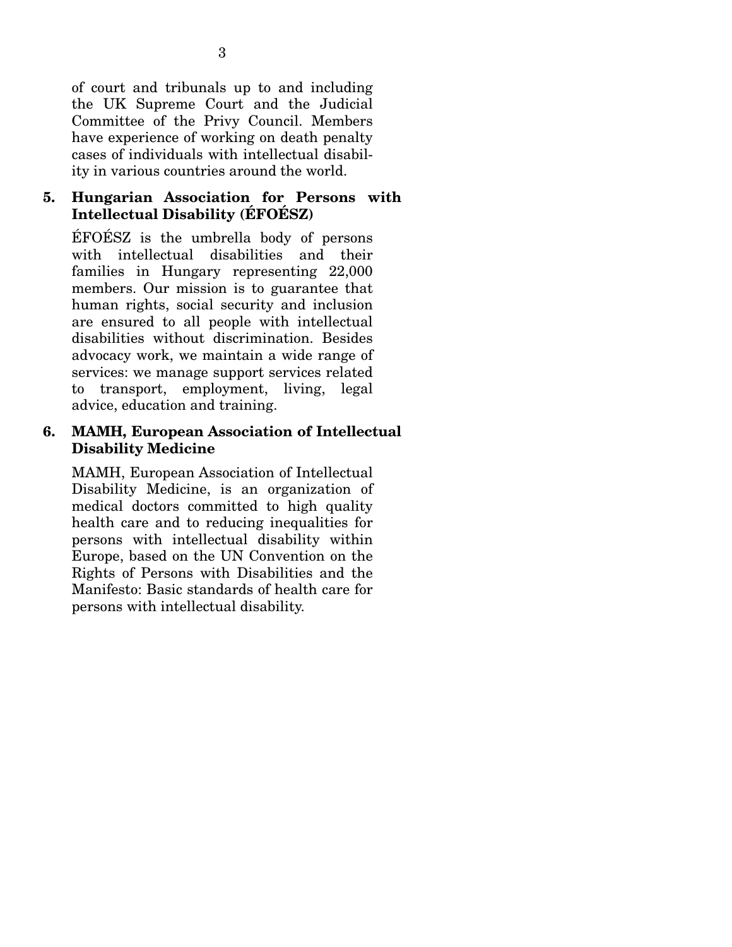of court and tribunals up to and including the UK Supreme Court and the Judicial Committee of the Privy Council. Members have experience of working on death penalty cases of individuals with intellectual disability in various countries around the world.

## **5. Hungarian Association for Persons with Intellectual Disability (ÉFOÉSZ)**

ÉFOÉSZ is the umbrella body of persons with intellectual disabilities and their families in Hungary representing 22,000 members. Our mission is to guarantee that human rights, social security and inclusion are ensured to all people with intellectual disabilities without discrimination. Besides advocacy work, we maintain a wide range of services: we manage support services related to transport, employment, living, legal advice, education and training.

## **6. MAMH, European Association of Intellectual Disability Medicine**

MAMH, European Association of Intellectual Disability Medicine, is an organization of medical doctors committed to high quality health care and to reducing inequalities for persons with intellectual disability within Europe, based on the UN Convention on the Rights of Persons with Disabilities and the Manifesto: Basic standards of health care for persons with intellectual disability.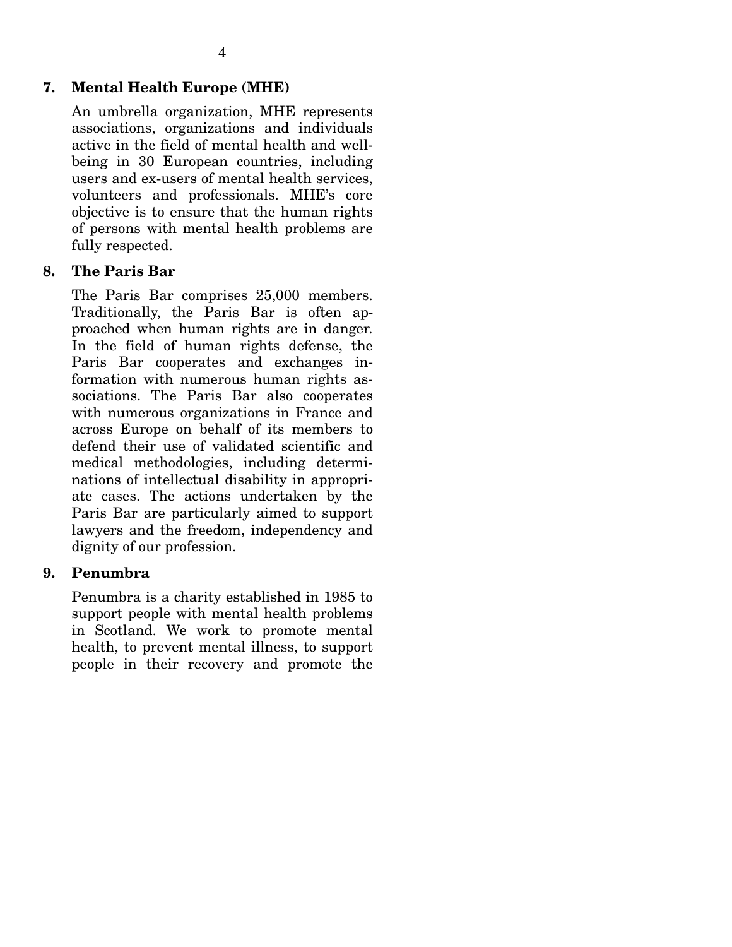## **7. Mental Health Europe (MHE)**

An umbrella organization, MHE represents associations, organizations and individuals active in the field of mental health and wellbeing in 30 European countries, including users and ex-users of mental health services, volunteers and professionals. MHE's core objective is to ensure that the human rights of persons with mental health problems are fully respected.

### **8. The Paris Bar**

The Paris Bar comprises 25,000 members. Traditionally, the Paris Bar is often approached when human rights are in danger. In the field of human rights defense, the Paris Bar cooperates and exchanges information with numerous human rights associations. The Paris Bar also cooperates with numerous organizations in France and across Europe on behalf of its members to defend their use of validated scientific and medical methodologies, including determinations of intellectual disability in appropriate cases. The actions undertaken by the Paris Bar are particularly aimed to support lawyers and the freedom, independency and dignity of our profession.

### **9. Penumbra**

Penumbra is a charity established in 1985 to support people with mental health problems in Scotland. We work to promote mental health, to prevent mental illness, to support people in their recovery and promote the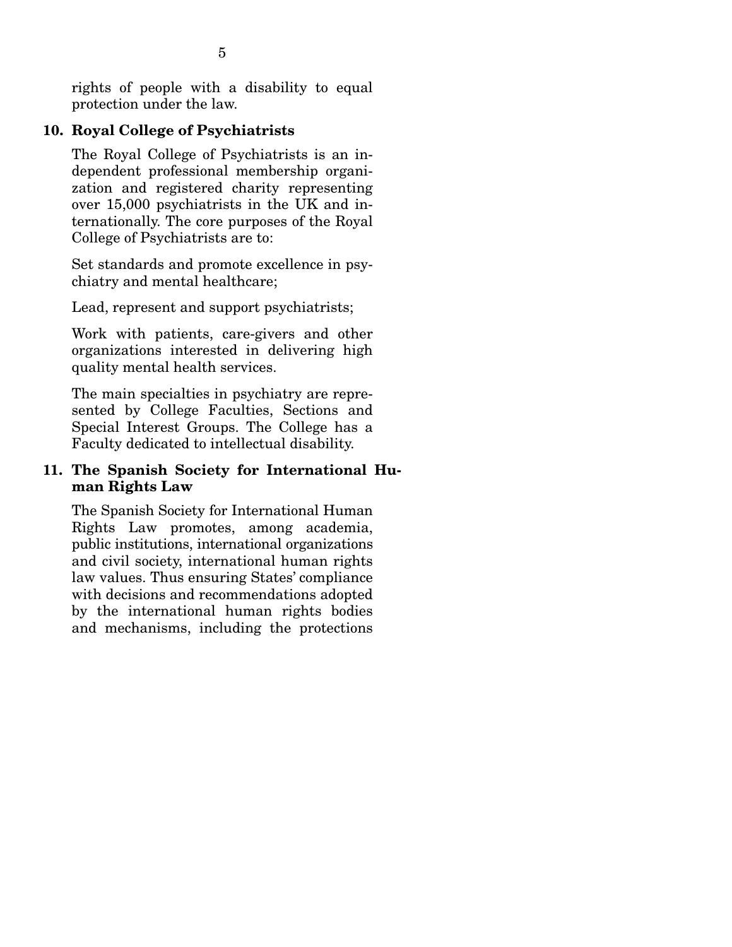rights of people with a disability to equal protection under the law.

## **10. Royal College of Psychiatrists**

The Royal College of Psychiatrists is an independent professional membership organization and registered charity representing over 15,000 psychiatrists in the UK and internationally. The core purposes of the Royal College of Psychiatrists are to:

Set standards and promote excellence in psychiatry and mental healthcare;

Lead, represent and support psychiatrists;

Work with patients, care-givers and other organizations interested in delivering high quality mental health services.

The main specialties in psychiatry are represented by College Faculties, Sections and Special Interest Groups. The College has a Faculty dedicated to intellectual disability.

## **11. The Spanish Society for International Human Rights Law**

The Spanish Society for International Human Rights Law promotes, among academia, public institutions, international organizations and civil society, international human rights law values. Thus ensuring States' compliance with decisions and recommendations adopted by the international human rights bodies and mechanisms, including the protections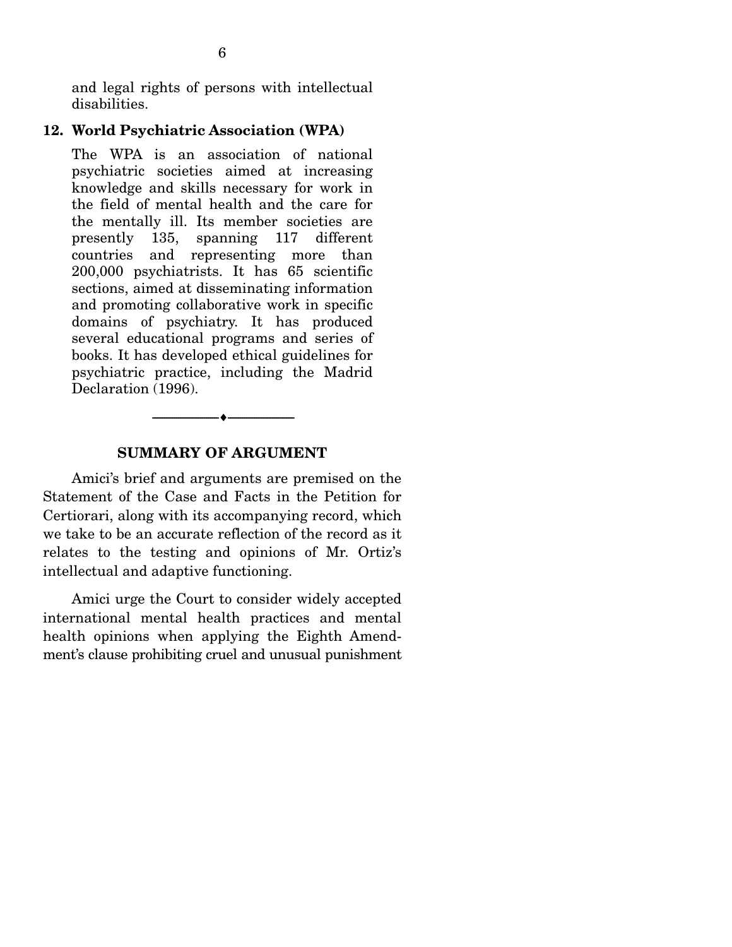and legal rights of persons with intellectual disabilities.

### **12. World Psychiatric Association (WPA)**

The WPA is an association of national psychiatric societies aimed at increasing knowledge and skills necessary for work in the field of mental health and the care for the mentally ill. Its member societies are presently 135, spanning 117 different countries and representing more than 200,000 psychiatrists. It has 65 scientific sections, aimed at disseminating information and promoting collaborative work in specific domains of psychiatry. It has produced several educational programs and series of books. It has developed ethical guidelines for psychiatric practice, including the Madrid Declaration (1996).

### **SUMMARY OF ARGUMENT**

--------------------------------- ---------------------------------

 Amici's brief and arguments are premised on the Statement of the Case and Facts in the Petition for Certiorari, along with its accompanying record, which we take to be an accurate reflection of the record as it relates to the testing and opinions of Mr. Ortiz's intellectual and adaptive functioning.

 Amici urge the Court to consider widely accepted international mental health practices and mental health opinions when applying the Eighth Amendment's clause prohibiting cruel and unusual punishment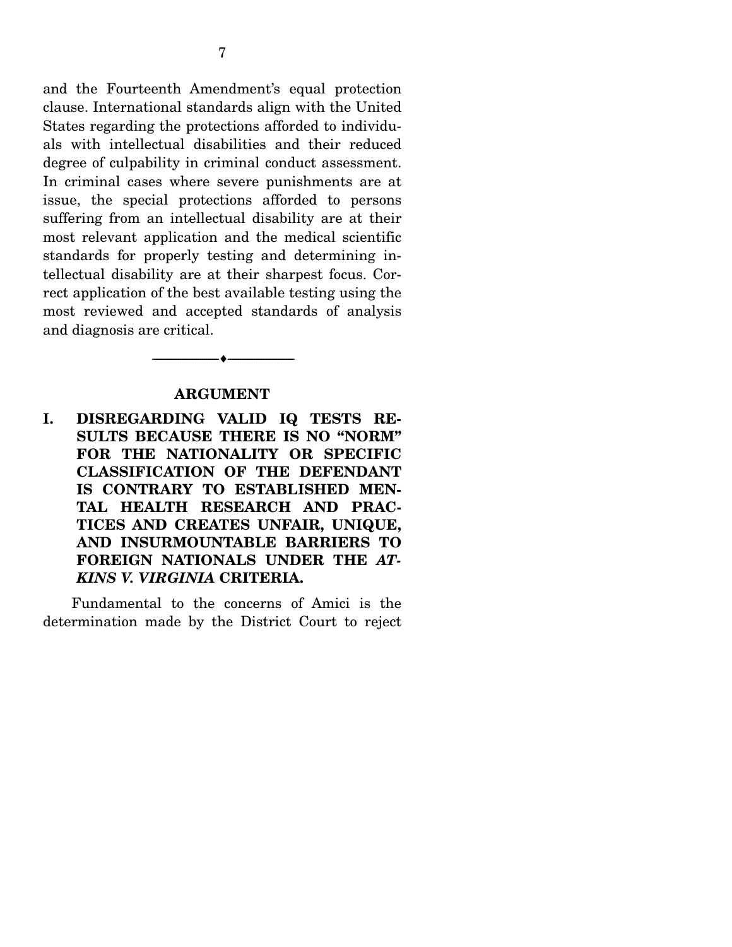and the Fourteenth Amendment's equal protection clause. International standards align with the United States regarding the protections afforded to individuals with intellectual disabilities and their reduced degree of culpability in criminal conduct assessment. In criminal cases where severe punishments are at issue, the special protections afforded to persons suffering from an intellectual disability are at their most relevant application and the medical scientific standards for properly testing and determining intellectual disability are at their sharpest focus. Correct application of the best available testing using the most reviewed and accepted standards of analysis and diagnosis are critical.

#### **ARGUMENT**

--------------------------------- ---------------------------------

**I. DISREGARDING VALID IQ TESTS RE-SULTS BECAUSE THERE IS NO "NORM" FOR THE NATIONALITY OR SPECIFIC CLASSIFICATION OF THE DEFENDANT IS CONTRARY TO ESTABLISHED MEN-TAL HEALTH RESEARCH AND PRAC-TICES AND CREATES UNFAIR, UNIQUE, AND INSURMOUNTABLE BARRIERS TO FOREIGN NATIONALS UNDER THE** *AT-KINS V. VIRGINIA* **CRITERIA.** 

 Fundamental to the concerns of Amici is the determination made by the District Court to reject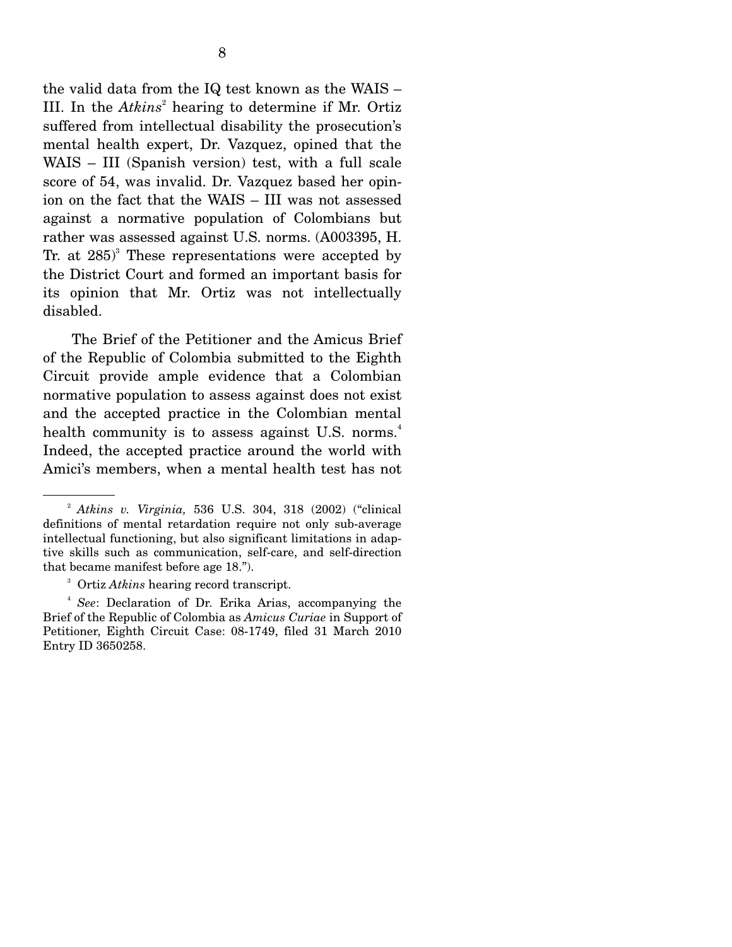the valid data from the IQ test known as the WAIS – III. In the *Atkins*<sup>2</sup> hearing to determine if Mr. Ortiz suffered from intellectual disability the prosecution's mental health expert, Dr. Vazquez, opined that the WAIS – III (Spanish version) test, with a full scale score of 54, was invalid. Dr. Vazquez based her opinion on the fact that the WAIS – III was not assessed against a normative population of Colombians but rather was assessed against U.S. norms. (A003395, H. Tr. at  $285$ <sup>3</sup> These representations were accepted by the District Court and formed an important basis for its opinion that Mr. Ortiz was not intellectually disabled.

 The Brief of the Petitioner and the Amicus Brief of the Republic of Colombia submitted to the Eighth Circuit provide ample evidence that a Colombian normative population to assess against does not exist and the accepted practice in the Colombian mental health community is to assess against U.S. norms.<sup>4</sup> Indeed, the accepted practice around the world with Amici's members, when a mental health test has not

<sup>2</sup> *Atkins v. Virginia,* 536 U.S. 304, 318 (2002) ("clinical definitions of mental retardation require not only sub-average intellectual functioning, but also significant limitations in adaptive skills such as communication, self-care, and self-direction that became manifest before age 18.").

<sup>3</sup> Ortiz *Atkins* hearing record transcript.

<sup>4</sup> *See*: Declaration of Dr. Erika Arias, accompanying the Brief of the Republic of Colombia as *Amicus Curiae* in Support of Petitioner, Eighth Circuit Case: 08-1749, filed 31 March 2010 Entry ID 3650258.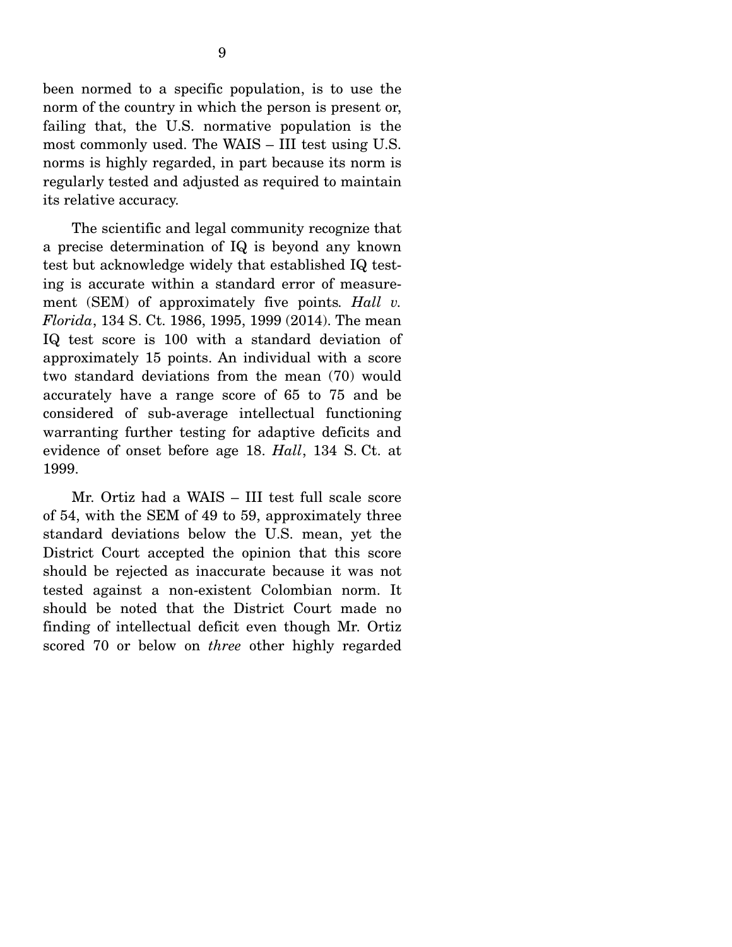been normed to a specific population, is to use the norm of the country in which the person is present or, failing that, the U.S. normative population is the most commonly used. The WAIS – III test using U.S. norms is highly regarded, in part because its norm is regularly tested and adjusted as required to maintain its relative accuracy.

 The scientific and legal community recognize that a precise determination of IQ is beyond any known test but acknowledge widely that established IQ testing is accurate within a standard error of measurement (SEM) of approximately five points*. Hall v. Florida*, 134 S. Ct. 1986, 1995, 1999 (2014). The mean IQ test score is 100 with a standard deviation of approximately 15 points. An individual with a score two standard deviations from the mean (70) would accurately have a range score of 65 to 75 and be considered of sub-average intellectual functioning warranting further testing for adaptive deficits and evidence of onset before age 18. *Hall*, 134 S. Ct. at 1999.

 Mr. Ortiz had a WAIS – III test full scale score of 54, with the SEM of 49 to 59, approximately three standard deviations below the U.S. mean, yet the District Court accepted the opinion that this score should be rejected as inaccurate because it was not tested against a non-existent Colombian norm. It should be noted that the District Court made no finding of intellectual deficit even though Mr. Ortiz scored 70 or below on *three* other highly regarded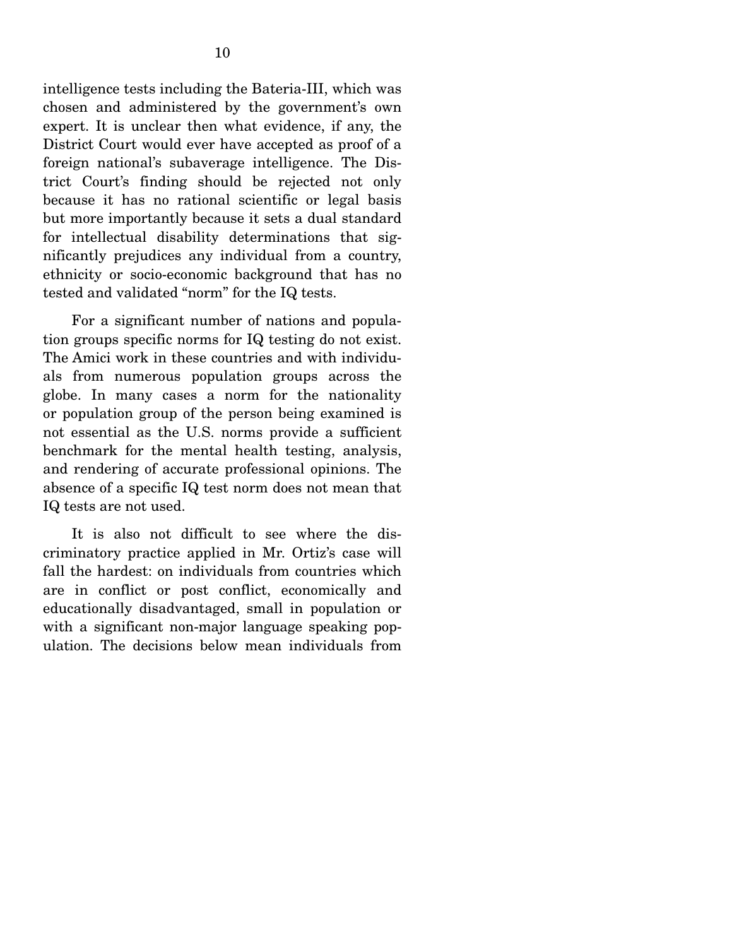intelligence tests including the Bateria-III, which was chosen and administered by the government's own expert. It is unclear then what evidence, if any, the District Court would ever have accepted as proof of a foreign national's subaverage intelligence. The District Court's finding should be rejected not only because it has no rational scientific or legal basis but more importantly because it sets a dual standard for intellectual disability determinations that significantly prejudices any individual from a country, ethnicity or socio-economic background that has no tested and validated "norm" for the IQ tests.

 For a significant number of nations and population groups specific norms for IQ testing do not exist. The Amici work in these countries and with individuals from numerous population groups across the globe. In many cases a norm for the nationality or population group of the person being examined is not essential as the U.S. norms provide a sufficient benchmark for the mental health testing, analysis, and rendering of accurate professional opinions. The absence of a specific IQ test norm does not mean that IQ tests are not used.

 It is also not difficult to see where the discriminatory practice applied in Mr. Ortiz's case will fall the hardest: on individuals from countries which are in conflict or post conflict, economically and educationally disadvantaged, small in population or with a significant non-major language speaking population. The decisions below mean individuals from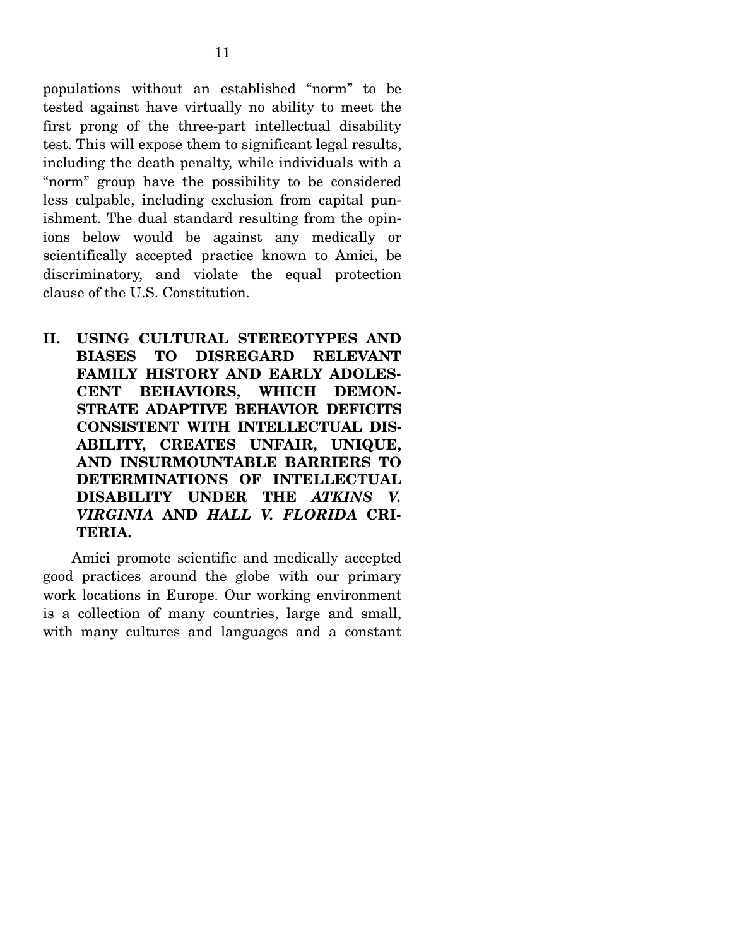populations without an established "norm" to be tested against have virtually no ability to meet the first prong of the three-part intellectual disability test. This will expose them to significant legal results, including the death penalty, while individuals with a "norm" group have the possibility to be considered less culpable, including exclusion from capital punishment. The dual standard resulting from the opinions below would be against any medically or scientifically accepted practice known to Amici, be discriminatory, and violate the equal protection clause of the U.S. Constitution.

**II. USING CULTURAL STEREOTYPES AND BIASES TO DISREGARD RELEVANT FAMILY HISTORY AND EARLY ADOLES-CENT BEHAVIORS, WHICH DEMON-STRATE ADAPTIVE BEHAVIOR DEFICITS CONSISTENT WITH INTELLECTUAL DIS-ABILITY, CREATES UNFAIR, UNIQUE, AND INSURMOUNTABLE BARRIERS TO DETERMINATIONS OF INTELLECTUAL DISABILITY UNDER THE** *ATKINS V. VIRGINIA* **AND** *HALL V. FLORIDA* **CRI-TERIA.** 

Amici promote scientific and medically accepted good practices around the globe with our primary work locations in Europe. Our working environment is a collection of many countries, large and small, with many cultures and languages and a constant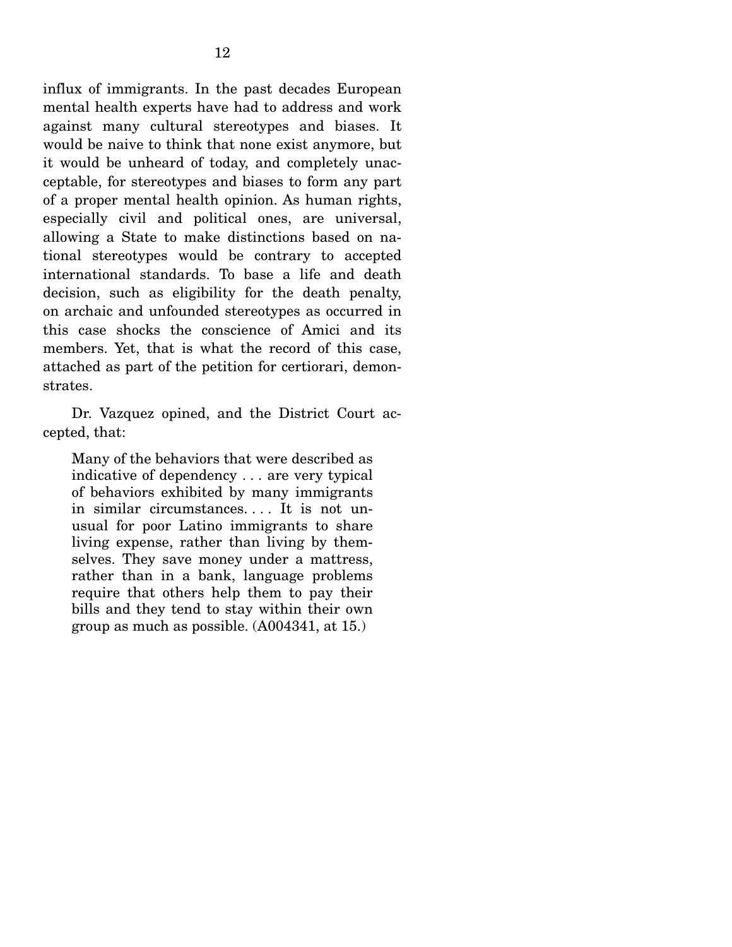influx of immigrants. In the past decades European mental health experts have had to address and work against many cultural stereotypes and biases. It would be naive to think that none exist anymore, but it would be unheard of today, and completely unacceptable, for stereotypes and biases to form any part of a proper mental health opinion. As human rights, especially civil and political ones, are universal, allowing a State to make distinctions based on national stereotypes would be contrary to accepted international standards. To base a life and death decision, such as eligibility for the death penalty, on archaic and unfounded stereotypes as occurred in this case shocks the conscience of Amici and its members. Yet, that is what the record of this case, attached as part of the petition for certiorari, demonstrates.

 Dr. Vazquez opined, and the District Court accepted, that:

Many of the behaviors that were described as indicative of dependency . . . are very typical of behaviors exhibited by many immigrants in similar circumstances. . . . It is not unusual for poor Latino immigrants to share living expense, rather than living by themselves. They save money under a mattress, rather than in a bank, language problems require that others help them to pay their bills and they tend to stay within their own group as much as possible. (A004341, at 15.)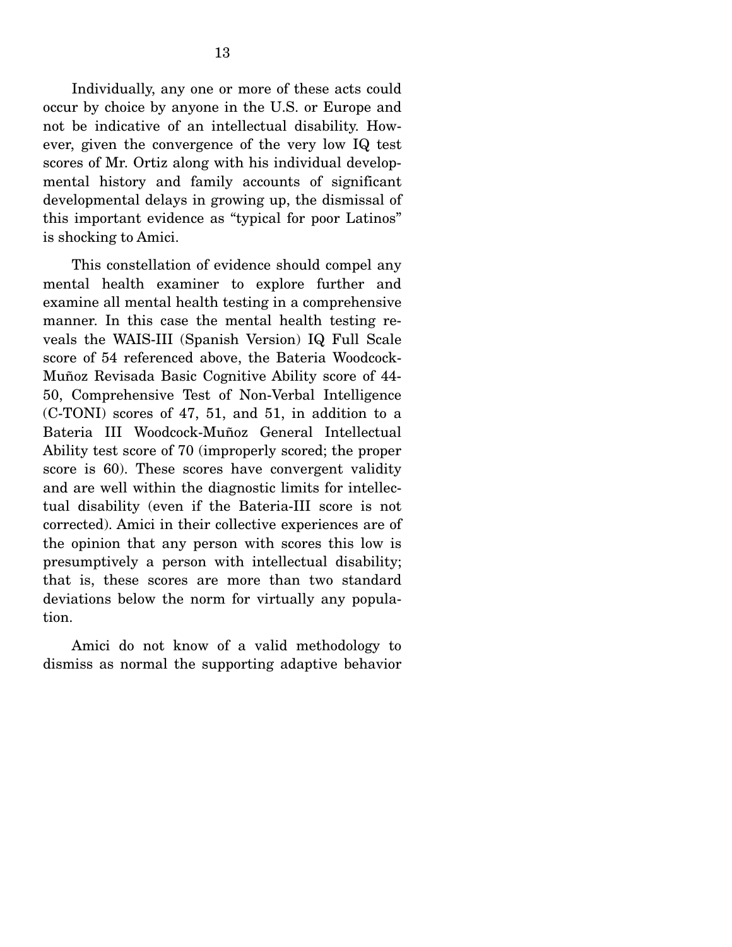Individually, any one or more of these acts could occur by choice by anyone in the U.S. or Europe and not be indicative of an intellectual disability. However, given the convergence of the very low IQ test scores of Mr. Ortiz along with his individual developmental history and family accounts of significant developmental delays in growing up, the dismissal of this important evidence as "typical for poor Latinos" is shocking to Amici.

 This constellation of evidence should compel any mental health examiner to explore further and examine all mental health testing in a comprehensive manner. In this case the mental health testing reveals the WAIS-III (Spanish Version) IQ Full Scale score of 54 referenced above, the Bateria Woodcock-Muñoz Revisada Basic Cognitive Ability score of 44- 50, Comprehensive Test of Non-Verbal Intelligence (C-TONI) scores of 47, 51, and 51, in addition to a Bateria III Woodcock-Muñoz General Intellectual Ability test score of 70 (improperly scored; the proper score is 60). These scores have convergent validity and are well within the diagnostic limits for intellectual disability (even if the Bateria-III score is not corrected). Amici in their collective experiences are of the opinion that any person with scores this low is presumptively a person with intellectual disability; that is, these scores are more than two standard deviations below the norm for virtually any population.

 Amici do not know of a valid methodology to dismiss as normal the supporting adaptive behavior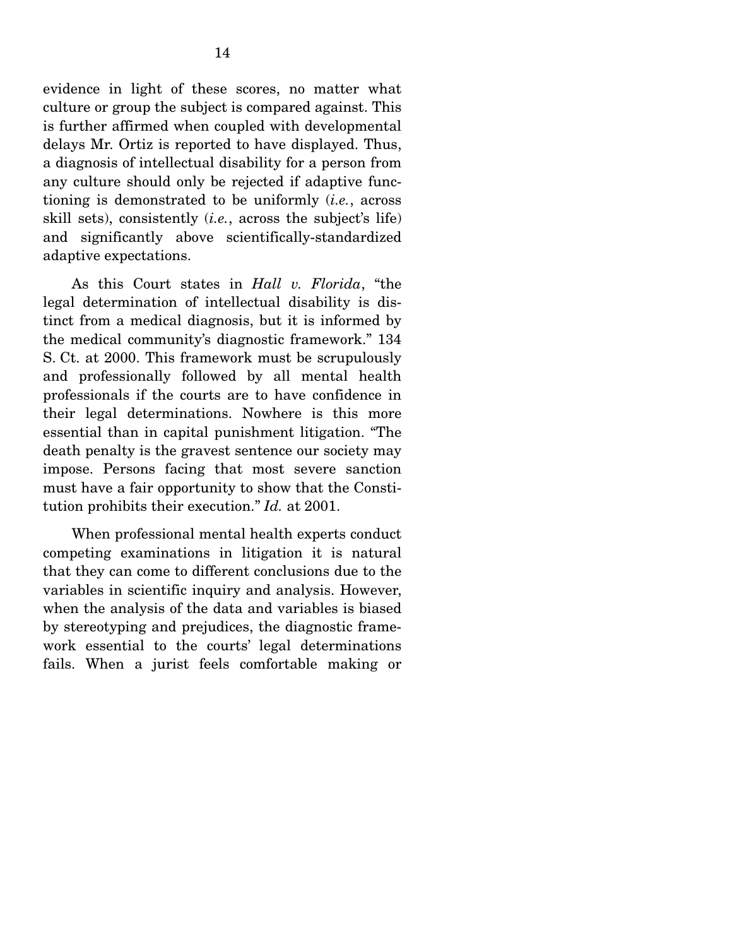evidence in light of these scores, no matter what culture or group the subject is compared against. This is further affirmed when coupled with developmental delays Mr. Ortiz is reported to have displayed. Thus, a diagnosis of intellectual disability for a person from any culture should only be rejected if adaptive functioning is demonstrated to be uniformly (*i.e.*, across skill sets), consistently (*i.e.*, across the subject's life) and significantly above scientifically-standardized adaptive expectations.

 As this Court states in *Hall v. Florida*, "the legal determination of intellectual disability is distinct from a medical diagnosis, but it is informed by the medical community's diagnostic framework." 134 S. Ct. at 2000. This framework must be scrupulously and professionally followed by all mental health professionals if the courts are to have confidence in their legal determinations. Nowhere is this more essential than in capital punishment litigation. "The death penalty is the gravest sentence our society may impose. Persons facing that most severe sanction must have a fair opportunity to show that the Constitution prohibits their execution." *Id.* at 2001.

 When professional mental health experts conduct competing examinations in litigation it is natural that they can come to different conclusions due to the variables in scientific inquiry and analysis. However, when the analysis of the data and variables is biased by stereotyping and prejudices, the diagnostic framework essential to the courts' legal determinations fails. When a jurist feels comfortable making or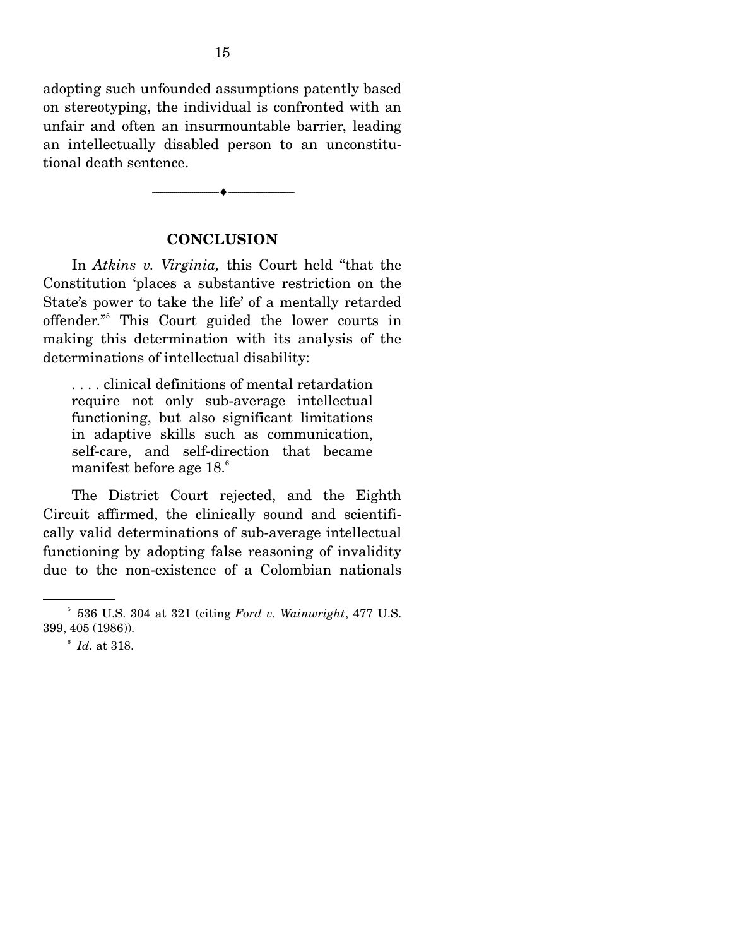adopting such unfounded assumptions patently based on stereotyping, the individual is confronted with an unfair and often an insurmountable barrier, leading an intellectually disabled person to an unconstitutional death sentence.

#### **CONCLUSION**

--------------------------------- ---------------------------------

In *Atkins v. Virginia,* this Court held "that the Constitution 'places a substantive restriction on the State's power to take the life' of a mentally retarded offender."5 This Court guided the lower courts in making this determination with its analysis of the determinations of intellectual disability:

. . . . clinical definitions of mental retardation require not only sub-average intellectual functioning, but also significant limitations in adaptive skills such as communication, self-care, and self-direction that became manifest before age 18.<sup>6</sup>

 The District Court rejected, and the Eighth Circuit affirmed, the clinically sound and scientifically valid determinations of sub-average intellectual functioning by adopting false reasoning of invalidity due to the non-existence of a Colombian nationals

<sup>5</sup> 536 U.S. 304 at 321 (citing *Ford v. Wainwright*, 477 U.S. 399, 405 (1986)).

<sup>6</sup> *Id.* at 318.